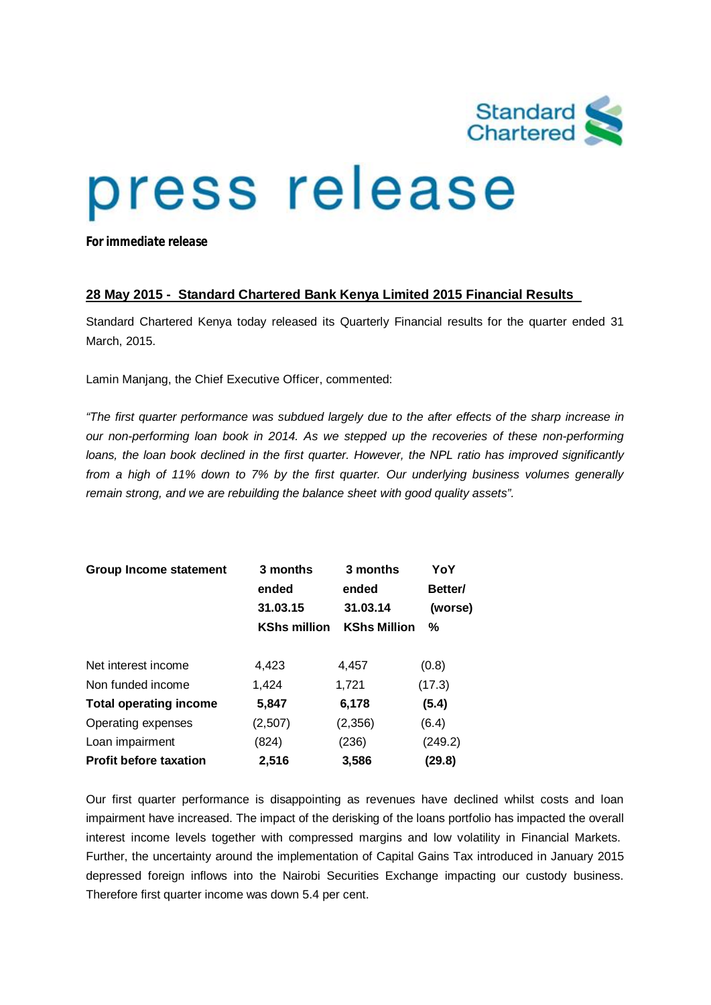

# press release

*For immediate release*

## **28 May 2015 - Standard Chartered Bank Kenya Limited 2015 Financial Results**

Standard Chartered Kenya today released its Quarterly Financial results for the quarter ended 31 March, 2015.

Lamin Manjang, the Chief Executive Officer, commented:

*"The first quarter performance was subdued largely due to the after effects of the sharp increase in our non-performing loan book in 2014. As we stepped up the recoveries of these non-performing loans, the loan book declined in the first quarter. However, the NPL ratio has improved significantly from a high of 11% down to 7% by the first quarter. Our underlying business volumes generally remain strong, and we are rebuilding the balance sheet with good quality assets".*

| <b>Group Income statement</b> | 3 months            | 3 months            | YoY     |  |
|-------------------------------|---------------------|---------------------|---------|--|
|                               | ended               | ended               | Better/ |  |
|                               | 31.03.15            | 31.03.14            | (worse) |  |
|                               | <b>KShs million</b> | <b>KShs Million</b> | %       |  |
| Net interest income           | 4,423               | 4,457               | (0.8)   |  |
| Non funded income             | 1,424               | 1,721               | (17.3)  |  |
| <b>Total operating income</b> | 5,847               | 6,178               | (5.4)   |  |
| Operating expenses            | (2,507)             | (2,356)             | (6.4)   |  |
| Loan impairment               | (824)               | (236)               | (249.2) |  |
| <b>Profit before taxation</b> | 2,516               | 3,586               | (29.8)  |  |

Our first quarter performance is disappointing as revenues have declined whilst costs and loan impairment have increased. The impact of the derisking of the loans portfolio has impacted the overall interest income levels together with compressed margins and low volatility in Financial Markets. Further, the uncertainty around the implementation of Capital Gains Tax introduced in January 2015 depressed foreign inflows into the Nairobi Securities Exchange impacting our custody business. Therefore first quarter income was down 5.4 per cent.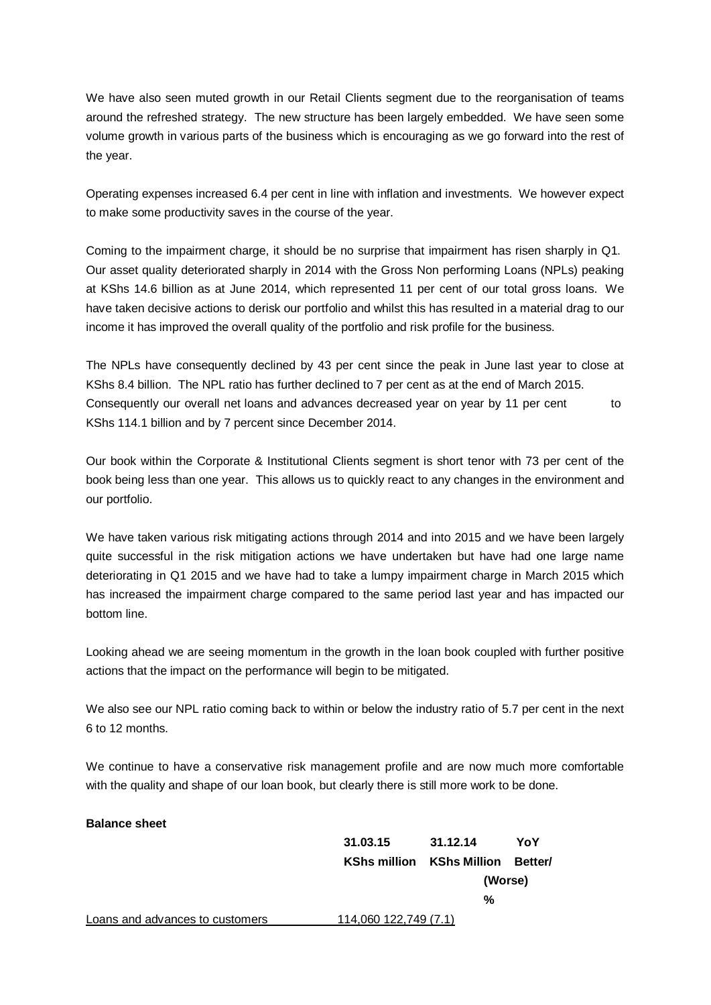We have also seen muted growth in our Retail Clients segment due to the reorganisation of teams around the refreshed strategy. The new structure has been largely embedded. We have seen some volume growth in various parts of the business which is encouraging as we go forward into the rest of the year.

Operating expenses increased 6.4 per cent in line with inflation and investments. We however expect to make some productivity saves in the course of the year.

Coming to the impairment charge, it should be no surprise that impairment has risen sharply in Q1. Our asset quality deteriorated sharply in 2014 with the Gross Non performing Loans (NPLs) peaking at KShs 14.6 billion as at June 2014, which represented 11 per cent of our total gross loans. We have taken decisive actions to derisk our portfolio and whilst this has resulted in a material drag to our income it has improved the overall quality of the portfolio and risk profile for the business.

The NPLs have consequently declined by 43 per cent since the peak in June last year to close at KShs 8.4 billion. The NPL ratio has further declined to 7 per cent as at the end of March 2015. Consequently our overall net loans and advances decreased year on year by 11 per cent to KShs 114.1 billion and by 7 percent since December 2014.

Our book within the Corporate & Institutional Clients segment is short tenor with 73 per cent of the book being less than one year. This allows us to quickly react to any changes in the environment and our portfolio.

We have taken various risk mitigating actions through 2014 and into 2015 and we have been largely quite successful in the risk mitigation actions we have undertaken but have had one large name deteriorating in Q1 2015 and we have had to take a lumpy impairment charge in March 2015 which has increased the impairment charge compared to the same period last year and has impacted our bottom line.

Looking ahead we are seeing momentum in the growth in the loan book coupled with further positive actions that the impact on the performance will begin to be mitigated.

We also see our NPL ratio coming back to within or below the industry ratio of 5.7 per cent in the next 6 to 12 months.

We continue to have a conservative risk management profile and are now much more comfortable with the quality and shape of our loan book, but clearly there is still more work to be done.

## **Balance sheet**

|                                 | 31.03.15              | 31.12.14     | YoY     |
|---------------------------------|-----------------------|--------------|---------|
|                                 | <b>KShs million</b>   | KShs Million | Better/ |
|                                 |                       | (Worse)      |         |
|                                 |                       | %            |         |
| Loans and advances to customers | 114,060 122,749 (7.1) |              |         |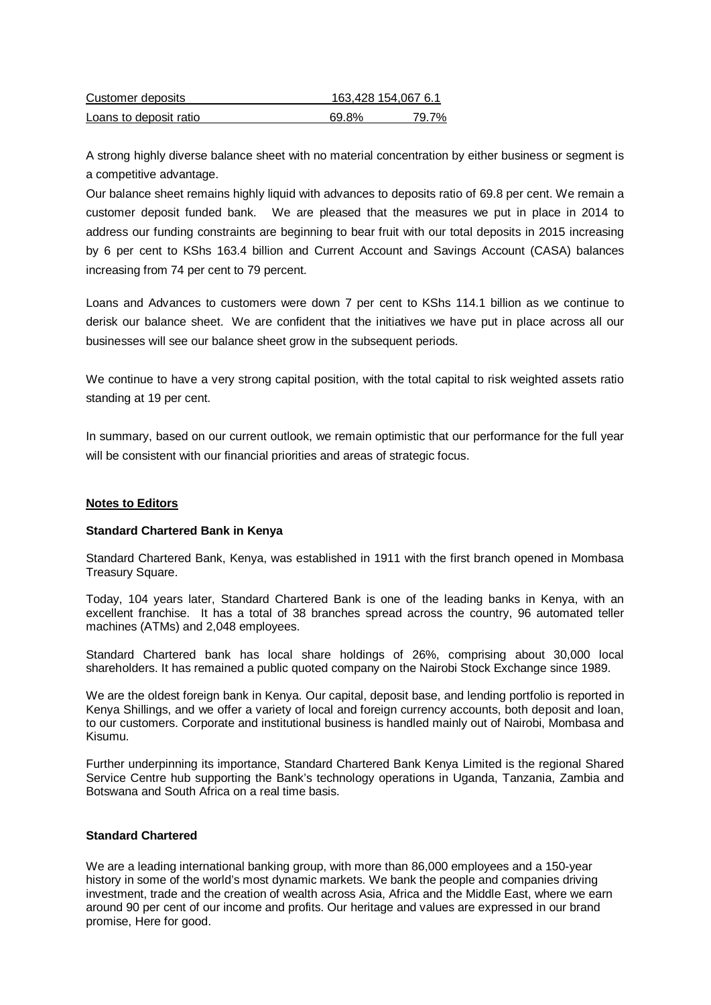| Customer deposits      | 163,428 154,067 6.1 |       |  |
|------------------------|---------------------|-------|--|
| Loans to deposit ratio | 69.8%               | 79.7% |  |

A strong highly diverse balance sheet with no material concentration by either business or segment is a competitive advantage.

Our balance sheet remains highly liquid with advances to deposits ratio of 69.8 per cent. We remain a customer deposit funded bank. We are pleased that the measures we put in place in 2014 to address our funding constraints are beginning to bear fruit with our total deposits in 2015 increasing by 6 per cent to KShs 163.4 billion and Current Account and Savings Account (CASA) balances increasing from 74 per cent to 79 percent.

Loans and Advances to customers were down 7 per cent to KShs 114.1 billion as we continue to derisk our balance sheet. We are confident that the initiatives we have put in place across all our businesses will see our balance sheet grow in the subsequent periods.

We continue to have a very strong capital position, with the total capital to risk weighted assets ratio standing at 19 per cent.

In summary, based on our current outlook, we remain optimistic that our performance for the full year will be consistent with our financial priorities and areas of strategic focus.

#### **Notes to Editors**

#### **Standard Chartered Bank in Kenya**

Standard Chartered Bank, Kenya, was established in 1911 with the first branch opened in Mombasa Treasury Square.

Today, 104 years later, Standard Chartered Bank is one of the leading banks in Kenya, with an excellent franchise. It has a total of 38 branches spread across the country, 96 automated teller machines (ATMs) and 2,048 employees.

Standard Chartered bank has local share holdings of 26%, comprising about 30,000 local shareholders. It has remained a public quoted company on the Nairobi Stock Exchange since 1989.

We are the oldest foreign bank in Kenya. Our capital, deposit base, and lending portfolio is reported in Kenya Shillings, and we offer a variety of local and foreign currency accounts, both deposit and loan, to our customers. Corporate and institutional business is handled mainly out of Nairobi, Mombasa and Kisumu.

Further underpinning its importance, Standard Chartered Bank Kenya Limited is the regional Shared Service Centre hub supporting the Bank's technology operations in Uganda, Tanzania, Zambia and Botswana and South Africa on a real time basis.

## **Standard Chartered**

We are a leading international banking group, with more than 86,000 employees and a 150-year history in some of the world's most dynamic markets. We bank the people and companies driving investment, trade and the creation of wealth across Asia, Africa and the Middle East, where we earn around 90 per cent of our income and profits. Our heritage and values are expressed in our brand promise, Here for good.